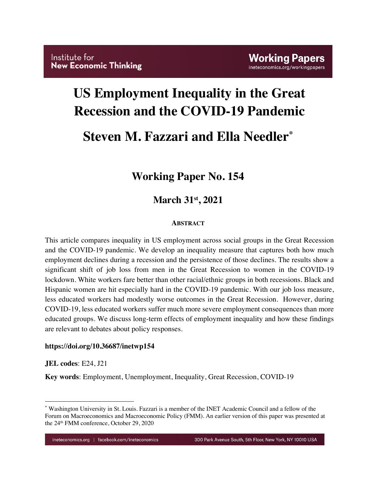# **US Employment Inequality in the Great Recession and the COVID-19 Pandemic**

# **Steven M. Fazzari and Ella Needler\***

## **Working Paper No. 154**

## **March 31st, 2021**

#### **ABSTRACT**

This article compares inequality in US employment across social groups in the Great Recession and the COVID-19 pandemic. We develop an inequality measure that captures both how much employment declines during a recession and the persistence of those declines. The results show a significant shift of job loss from men in the Great Recession to women in the COVID-19 lockdown. White workers fare better than other racial/ethnic groups in both recessions. Black and Hispanic women are hit especially hard in the COVID-19 pandemic. With our job loss measure, less educated workers had modestly worse outcomes in the Great Recession. However, during COVID-19, less educated workers suffer much more severe employment consequences than more educated groups. We discuss long-term effects of employment inequality and how these findings are relevant to debates about policy responses.

#### **https://doi.org/10.36687/inetwp154**

**JEL codes**: E24, J21

**Key words**: Employment, Unemployment, Inequality, Great Recession, COVID-19

<sup>\*</sup> Washington University in St. Louis. Fazzari is a member of the INET Academic Council and a fellow of the Forum on Macroeconomics and Macroeconomic Policy (FMM). An earlier version of this paper was presented at the 24th FMM conference, October 29, 2020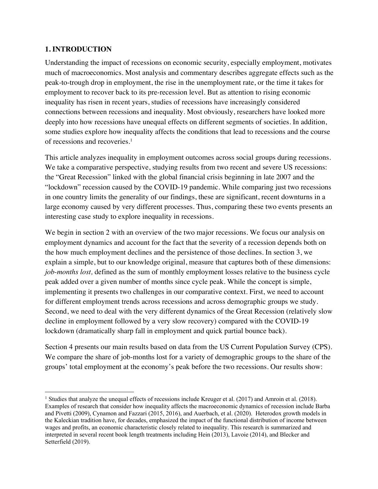#### **1. INTRODUCTION**

Understanding the impact of recessions on economic security, especially employment, motivates much of macroeconomics. Most analysis and commentary describes aggregate effects such as the peak-to-trough drop in employment, the rise in the unemployment rate, or the time it takes for employment to recover back to its pre-recession level. But as attention to rising economic inequality has risen in recent years, studies of recessions have increasingly considered connections between recessions and inequality. Most obviously, researchers have looked more deeply into how recessions have unequal effects on different segments of societies. In addition, some studies explore how inequality affects the conditions that lead to recessions and the course of recessions and recoveries. 1

This article analyzes inequality in employment outcomes across social groups during recessions. We take a comparative perspective, studying results from two recent and severe US recessions: the "Great Recession" linked with the global financial crisis beginning in late 2007 and the "lockdown" recession caused by the COVID-19 pandemic. While comparing just two recessions in one country limits the generality of our findings, these are significant, recent downturns in a large economy caused by very different processes. Thus, comparing these two events presents an interesting case study to explore inequality in recessions.

We begin in section 2 with an overview of the two major recessions. We focus our analysis on employment dynamics and account for the fact that the severity of a recession depends both on the how much employment declines and the persistence of those declines. In section 3, we explain a simple, but to our knowledge original, measure that captures both of these dimensions: *job-months lost,* defined as the sum of monthly employment losses relative to the business cycle peak added over a given number of months since cycle peak. While the concept is simple, implementing it presents two challenges in our comparative context. First, we need to account for different employment trends across recessions and across demographic groups we study. Second, we need to deal with the very different dynamics of the Great Recession (relatively slow decline in employment followed by a very slow recovery) compared with the COVID-19 lockdown (dramatically sharp fall in employment and quick partial bounce back).

Section 4 presents our main results based on data from the US Current Population Survey (CPS). We compare the share of job-months lost for a variety of demographic groups to the share of the groups' total employment at the economy's peak before the two recessions. Our results show:

<sup>&</sup>lt;sup>1</sup> Studies that analyze the unequal effects of recessions include Kreuger et al. (2017) and Amroin et al. (2018). Examples of research that consider how inequality affects the macroeconomic dynamics of recession include Barba and Pivetti (2009), Cynamon and Fazzari (2015, 2016), and Auerbach, et al. (2020). Heterodox growth models in the Kaleckian tradition have, for decades, emphasized the impact of the functional distribution of income between wages and profits, an economic characteristic closely related to inequality. This research is summarized and interpreted in several recent book length treatments including Hein (2013), Lavoie (2014), and Blecker and Setterfield (2019).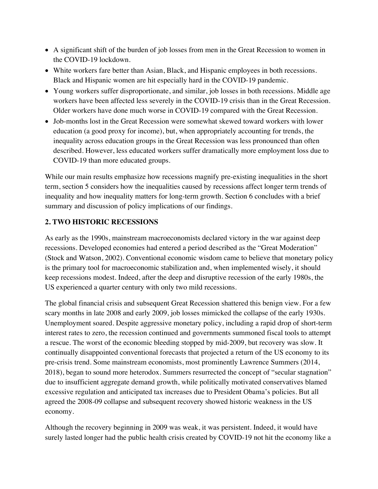- A significant shift of the burden of job losses from men in the Great Recession to women in the COVID-19 lockdown.
- White workers fare better than Asian, Black, and Hispanic employees in both recessions. Black and Hispanic women are hit especially hard in the COVID-19 pandemic.
- Young workers suffer disproportionate, and similar, job losses in both recessions. Middle age workers have been affected less severely in the COVID-19 crisis than in the Great Recession. Older workers have done much worse in COVID-19 compared with the Great Recession.
- Job-months lost in the Great Recession were somewhat skewed toward workers with lower education (a good proxy for income), but, when appropriately accounting for trends, the inequality across education groups in the Great Recession was less pronounced than often described. However, less educated workers suffer dramatically more employment loss due to COVID-19 than more educated groups.

While our main results emphasize how recessions magnify pre-existing inequalities in the short term, section 5 considers how the inequalities caused by recessions affect longer term trends of inequality and how inequality matters for long-term growth. Section 6 concludes with a brief summary and discussion of policy implications of our findings.

### **2. TWO HISTORIC RECESSIONS**

As early as the 1990s, mainstream macroeconomists declared victory in the war against deep recessions. Developed economies had entered a period described as the "Great Moderation" (Stock and Watson, 2002). Conventional economic wisdom came to believe that monetary policy is the primary tool for macroeconomic stabilization and, when implemented wisely, it should keep recessions modest. Indeed, after the deep and disruptive recession of the early 1980s, the US experienced a quarter century with only two mild recessions.

The global financial crisis and subsequent Great Recession shattered this benign view. For a few scary months in late 2008 and early 2009, job losses mimicked the collapse of the early 1930s. Unemployment soared. Despite aggressive monetary policy, including a rapid drop of short-term interest rates to zero, the recession continued and governments summoned fiscal tools to attempt a rescue. The worst of the economic bleeding stopped by mid-2009, but recovery was slow. It continually disappointed conventional forecasts that projected a return of the US economy to its pre-crisis trend. Some mainstream economists, most prominently Lawrence Summers (2014, 2018), began to sound more heterodox. Summers resurrected the concept of "secular stagnation" due to insufficient aggregate demand growth, while politically motivated conservatives blamed excessive regulation and anticipated tax increases due to President Obama's policies. But all agreed the 2008-09 collapse and subsequent recovery showed historic weakness in the US economy.

Although the recovery beginning in 2009 was weak, it was persistent. Indeed, it would have surely lasted longer had the public health crisis created by COVID-19 not hit the economy like a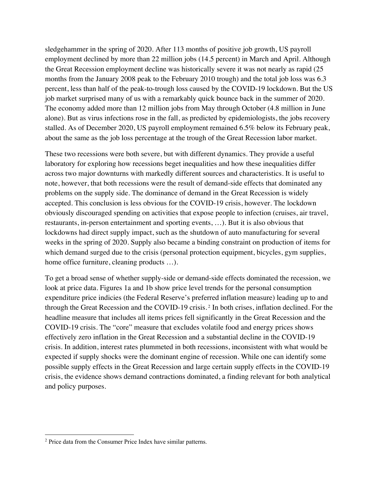sledgehammer in the spring of 2020. After 113 months of positive job growth, US payroll employment declined by more than 22 million jobs (14.5 percent) in March and April. Although the Great Recession employment decline was historically severe it was not nearly as rapid (25 months from the January 2008 peak to the February 2010 trough) and the total job loss was 6.3 percent, less than half of the peak-to-trough loss caused by the COVID-19 lockdown. But the US job market surprised many of us with a remarkably quick bounce back in the summer of 2020. The economy added more than 12 million jobs from May through October (4.8 million in June alone). But as virus infections rose in the fall, as predicted by epidemiologists, the jobs recovery stalled. As of December 2020, US payroll employment remained 6.5% below its February peak, about the same as the job loss percentage at the trough of the Great Recession labor market.

These two recessions were both severe, but with different dynamics. They provide a useful laboratory for exploring how recessions beget inequalities and how these inequalities differ across two major downturns with markedly different sources and characteristics. It is useful to note, however, that both recessions were the result of demand-side effects that dominated any problems on the supply side. The dominance of demand in the Great Recession is widely accepted. This conclusion is less obvious for the COVID-19 crisis, however. The lockdown obviously discouraged spending on activities that expose people to infection (cruises, air travel, restaurants, in-person entertainment and sporting events, …). But it is also obvious that lockdowns had direct supply impact, such as the shutdown of auto manufacturing for several weeks in the spring of 2020. Supply also became a binding constraint on production of items for which demand surged due to the crisis (personal protection equipment, bicycles, gym supplies, home office furniture, cleaning products ...).

To get a broad sense of whether supply-side or demand-side effects dominated the recession, we look at price data. Figures 1a and 1b show price level trends for the personal consumption expenditure price indicies (the Federal Reserve's preferred inflation measure) leading up to and through the Great Recession and the COVID-19 crisis. <sup>2</sup> In both crises, inflation declined. For the headline measure that includes all items prices fell significantly in the Great Recession and the COVID-19 crisis. The "core" measure that excludes volatile food and energy prices shows effectively zero inflation in the Great Recession and a substantial decline in the COVID-19 crisis. In addition, interest rates plummeted in both recessions, inconsistent with what would be expected if supply shocks were the dominant engine of recession. While one can identify some possible supply effects in the Great Recession and large certain supply effects in the COVID-19 crisis, the evidence shows demand contractions dominated, a finding relevant for both analytical and policy purposes.

<sup>2</sup> Price data from the Consumer Price Index have similar patterns.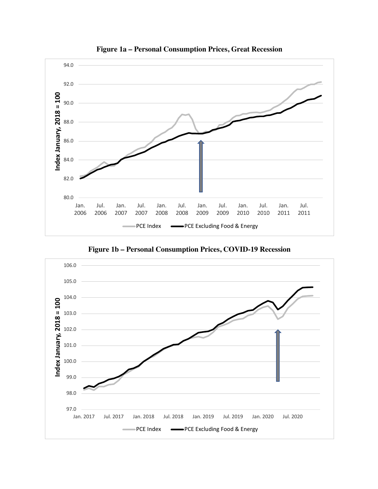

**Figure 1a – Personal Consumption Prices, Great Recession**

**Figure 1b – Personal Consumption Prices, COVID-19 Recession**

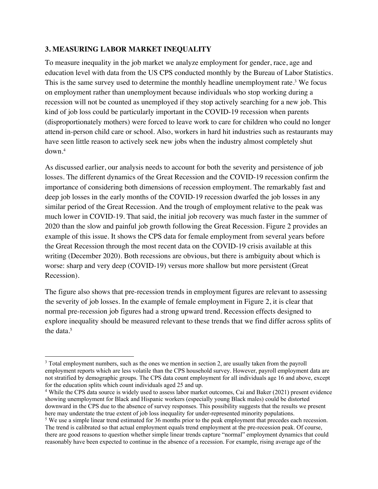#### **3. MEASURING LABOR MARKET INEQUALITY**

To measure inequality in the job market we analyze employment for gender, race, age and education level with data from the US CPS conducted monthly by the Bureau of Labor Statistics. This is the same survey used to determine the monthly headline unemployment rate.<sup>3</sup> We focus on employment rather than unemployment because individuals who stop working during a recession will not be counted as unemployed if they stop actively searching for a new job. This kind of job loss could be particularly important in the COVID-19 recession when parents (disproportionately mothers) were forced to leave work to care for children who could no longer attend in-person child care or school. Also, workers in hard hit industries such as restaurants may have seen little reason to actively seek new jobs when the industry almost completely shut down.4

As discussed earlier, our analysis needs to account for both the severity and persistence of job losses. The different dynamics of the Great Recession and the COVID-19 recession confirm the importance of considering both dimensions of recession employment. The remarkably fast and deep job losses in the early months of the COVID-19 recession dwarfed the job losses in any similar period of the Great Recession. And the trough of employment relative to the peak was much lower in COVID-19. That said, the initial job recovery was much faster in the summer of 2020 than the slow and painful job growth following the Great Recession. Figure 2 provides an example of this issue. It shows the CPS data for female employment from several years before the Great Recession through the most recent data on the COVID-19 crisis available at this writing (December 2020). Both recessions are obvious, but there is ambiguity about which is worse: sharp and very deep (COVID-19) versus more shallow but more persistent (Great Recession).

The figure also shows that pre-recession trends in employment figures are relevant to assessing the severity of job losses. In the example of female employment in Figure 2, it is clear that normal pre-recession job figures had a strong upward trend. Recession effects designed to explore inequality should be measured relevant to these trends that we find differ across splits of the data.5

<sup>&</sup>lt;sup>3</sup> Total employment numbers, such as the ones we mention in section 2, are usually taken from the payroll employment reports which are less volatile than the CPS household survey. However, payroll employment data are not stratified by demographic groups. The CPS data count employment for all individuals age 16 and above, except for the education splits which count individuals aged 25 and up.

<sup>4</sup> While the CPS data source is widely used to assess labor market outcomes, Cai and Baker (2021) present evidence showing unemployment for Black and Hispanic workers (especially young Black males) could be distorted downward in the CPS due to the absence of survey responses. This possibility suggests that the results we present here may understate the true extent of job loss inequality for under-represented minority populations.

<sup>&</sup>lt;sup>5</sup> We use a simple linear trend estimated for 36 months prior to the peak employment that precedes each recession. The trend is calibrated so that actual employment equals trend employment at the pre-recession peak. Of course, there are good reasons to question whether simple linear trends capture "normal" employment dynamics that could reasonably have been expected to continue in the absence of a recession. For example, rising average age of the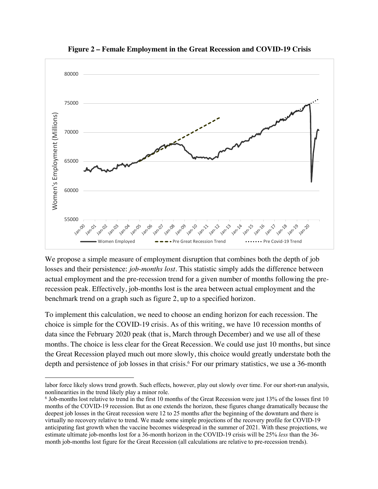

**Figure 2 – Female Employment in the Great Recession and COVID-19 Crisis**

We propose a simple measure of employment disruption that combines both the depth of job losses and their persistence: *job-months lost*. This statistic simply adds the difference between actual employment and the pre-recession trend for a given number of months following the prerecession peak. Effectively, job-months lost is the area between actual employment and the benchmark trend on a graph such as figure 2, up to a specified horizon.

To implement this calculation, we need to choose an ending horizon for each recession. The choice is simple for the COVID-19 crisis. As of this writing, we have 10 recession months of data since the February 2020 peak (that is, March through December) and we use all of these months. The choice is less clear for the Great Recession. We could use just 10 months, but since the Great Recession played much out more slowly, this choice would greatly understate both the depth and persistence of job losses in that crisis.<sup>6</sup> For our primary statistics, we use a 36-month

labor force likely slows trend growth. Such effects, however, play out slowly over time. For our short-run analysis, nonlinearities in the trend likely play a minor role.

<sup>6</sup> Job-months lost relative to trend in the first 10 months of the Great Recession were just 13% of the losses first 10 months of the COVID-19 recession. But as one extends the horizon, these figures change dramatically because the deepest job losses in the Great recession were 12 to 25 months after the beginning of the downturn and there is virtually no recovery relative to trend. We made some simple projections of the recovery profile for COVID-19 anticipating fast growth when the vaccine becomes widespread in the summer of 2021. With these projections, we estimate ultimate job-months lost for a 36-month horizon in the COVID-19 crisis will be 25% *less* than the 36 month job-months lost figure for the Great Recession (all calculations are relative to pre-recession trends).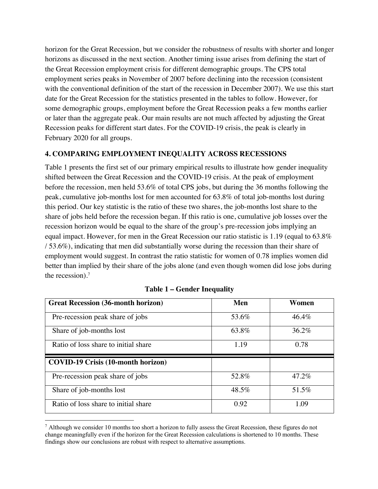horizon for the Great Recession, but we consider the robustness of results with shorter and longer horizons as discussed in the next section. Another timing issue arises from defining the start of the Great Recession employment crisis for different demographic groups. The CPS total employment series peaks in November of 2007 before declining into the recession (consistent with the conventional definition of the start of the recession in December 2007). We use this start date for the Great Recession for the statistics presented in the tables to follow. However, for some demographic groups, employment before the Great Recession peaks a few months earlier or later than the aggregate peak. Our main results are not much affected by adjusting the Great Recession peaks for different start dates. For the COVID-19 crisis, the peak is clearly in February 2020 for all groups.

#### **4. COMPARING EMPLOYMENT INEQUALITY ACROSS RECESSIONS**

Table 1 presents the first set of our primary empirical results to illustrate how gender inequality shifted between the Great Recession and the COVID-19 crisis. At the peak of employment before the recession, men held 53.6% of total CPS jobs, but during the 36 months following the peak, cumulative job-months lost for men accounted for 63.8% of total job-months lost during this period. Our key statistic is the ratio of these two shares, the job-months lost share to the share of jobs held before the recession began. If this ratio is one, cumulative job losses over the recession horizon would be equal to the share of the group's pre-recession jobs implying an equal impact. However, for men in the Great Recession our ratio statistic is 1.19 (equal to 63.8% / 53.6%), indicating that men did substantially worse during the recession than their share of employment would suggest. In contrast the ratio statistic for women of 0.78 implies women did better than implied by their share of the jobs alone (and even though women did lose jobs during the recession).7

| <b>Great Recession (36-month horizon)</b> | Men   | Women |
|-------------------------------------------|-------|-------|
| Pre-recession peak share of jobs          | 53.6% | 46.4% |
| Share of job-months lost                  | 63.8% | 36.2% |
| Ratio of loss share to initial share      | 1.19  | 0.78  |
|                                           |       |       |
| <b>COVID-19 Crisis (10-month horizon)</b> |       |       |
| Pre-recession peak share of jobs          | 52.8% | 47.2% |
| Share of job-months lost                  | 48.5% | 51.5% |

#### **Table 1 – Gender Inequality**

<sup>&</sup>lt;sup>7</sup> Although we consider 10 months too short a horizon to fully assess the Great Recession, these figures do not change meaningfully even if the horizon for the Great Recession calculations is shortened to 10 months. These findings show our conclusions are robust with respect to alternative assumptions.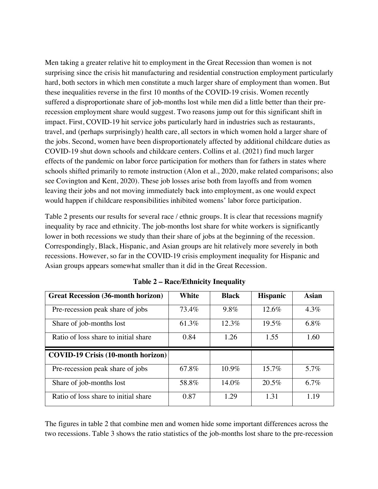Men taking a greater relative hit to employment in the Great Recession than women is not surprising since the crisis hit manufacturing and residential construction employment particularly hard, both sectors in which men constitute a much larger share of employment than women. But these inequalities reverse in the first 10 months of the COVID-19 crisis. Women recently suffered a disproportionate share of job-months lost while men did a little better than their prerecession employment share would suggest. Two reasons jump out for this significant shift in impact. First, COVID-19 hit service jobs particularly hard in industries such as restaurants, travel, and (perhaps surprisingly) health care, all sectors in which women hold a larger share of the jobs. Second, women have been disproportionately affected by additional childcare duties as COVID-19 shut down schools and childcare centers. Collins et al. (2021) find much larger effects of the pandemic on labor force participation for mothers than for fathers in states where schools shifted primarily to remote instruction (Alon et al., 2020, make related comparisons; also see Covington and Kent, 2020). These job losses arise both from layoffs and from women leaving their jobs and not moving immediately back into employment, as one would expect would happen if childcare responsibilities inhibited womens' labor force participation.

Table 2 presents our results for several race / ethnic groups. It is clear that recessions magnify inequality by race and ethnicity. The job-months lost share for white workers is significantly lower in both recessions we study than their share of jobs at the beginning of the recession. Correspondingly, Black, Hispanic, and Asian groups are hit relatively more severely in both recessions. However, so far in the COVID-19 crisis employment inequality for Hispanic and Asian groups appears somewhat smaller than it did in the Great Recession.

| <b>Great Recession (36-month horizon)</b> | White | <b>Black</b> | <b>Hispanic</b> | <b>Asian</b> |
|-------------------------------------------|-------|--------------|-----------------|--------------|
| Pre-recession peak share of jobs          | 73.4% | 9.8%         | 12.6%           | $4.3\%$      |
| Share of job-months lost                  | 61.3% | $12.3\%$     | $19.5\%$        | 6.8%         |
| Ratio of loss share to initial share      | 0.84  | 1.26         | 1.55            | 1.60         |
|                                           |       |              |                 |              |
| <b>COVID-19 Crisis (10-month horizon)</b> |       |              |                 |              |
| Pre-recession peak share of jobs          | 67.8% | 10.9%        | $15.7\%$        | 5.7%         |
| Share of job-months lost                  | 58.8% | $14.0\%$     | 20.5%           | 6.7%         |

**Table 2 – Race/Ethnicity Inequality**

The figures in table 2 that combine men and women hide some important differences across the two recessions. Table 3 shows the ratio statistics of the job-months lost share to the pre-recession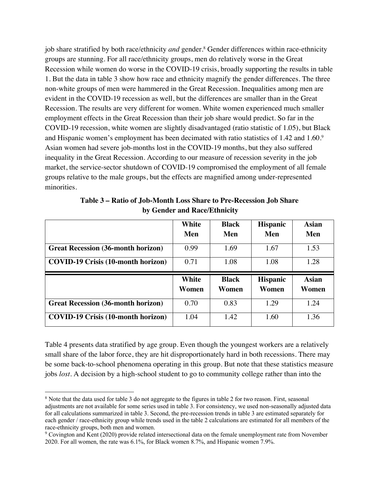job share stratified by both race/ethnicity *and* gender.<sup>8</sup> Gender differences within race-ethnicity groups are stunning. For all race/ethnicity groups, men do relatively worse in the Great Recession while women do worse in the COVID-19 crisis, broadly supporting the results in table 1. But the data in table 3 show how race and ethnicity magnify the gender differences. The three non-white groups of men were hammered in the Great Recession. Inequalities among men are evident in the COVID-19 recession as well, but the differences are smaller than in the Great Recession. The results are very different for women. White women experienced much smaller employment effects in the Great Recession than their job share would predict. So far in the COVID-19 recession, white women are slightly disadvantaged (ratio statistic of 1.05), but Black and Hispanic women's employment has been decimated with ratio statistics of 1.42 and 1.60.9 Asian women had severe job-months lost in the COVID-19 months, but they also suffered inequality in the Great Recession. According to our measure of recession severity in the job market, the service-sector shutdown of COVID-19 compromised the employment of all female groups relative to the male groups, but the effects are magnified among under-represented minorities.

|                                           | White          | <b>Black</b>          | <b>Hispanic</b>          | <b>Asian</b>          |
|-------------------------------------------|----------------|-----------------------|--------------------------|-----------------------|
|                                           | Men            | Men                   | Men                      | Men                   |
| <b>Great Recession (36-month horizon)</b> | 0.99           | 1.69                  | 1.67                     | 1.53                  |
| <b>COVID-19 Crisis (10-month horizon)</b> | 0.71           | 1.08                  | 1.08                     | 1.28                  |
|                                           |                |                       |                          |                       |
|                                           | White<br>Women | <b>Black</b><br>Women | <b>Hispanic</b><br>Women | <b>Asian</b><br>Women |
| <b>Great Recession (36-month horizon)</b> | 0.70           | 0.83                  | 1.29                     | 1.24                  |

| Table 3 – Ratio of Job-Month Loss Share to Pre-Recession Job Share |  |
|--------------------------------------------------------------------|--|
| by Gender and Race/Ethnicity                                       |  |

Table 4 presents data stratified by age group. Even though the youngest workers are a relatively small share of the labor force, they are hit disproportionately hard in both recessions. There may be some back-to-school phenomena operating in this group. But note that these statistics measure jobs *lost.* A decision by a high-school student to go to community college rather than into the

<sup>&</sup>lt;sup>8</sup> Note that the data used for table 3 do not aggregate to the figures in table 2 for two reason. First, seasonal adjustments are not available for some series used in table 3. For consistency, we used non-seasonally adjusted data for all calculations summarized in table 3. Second, the pre-recession trends in table 3 are estimated separately for each gender / race-ethnicity group while trends used in the table 2 calculations are estimated for all members of the race-ethnicity groups, both men and women.

<sup>&</sup>lt;sup>9</sup> Covington and Kent (2020) provide related intersectional data on the female unemployment rate from November 2020. For all women, the rate was 6.1%, for Black women 8.7%, and Hispanic women 7.9%.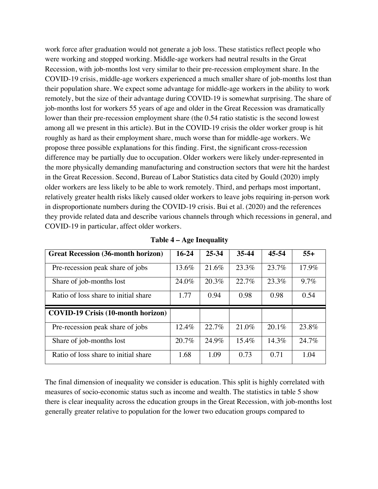work force after graduation would not generate a job loss. These statistics reflect people who were working and stopped working. Middle-age workers had neutral results in the Great Recession, with job-months lost very similar to their pre-recession employment share. In the COVID-19 crisis, middle-age workers experienced a much smaller share of job-months lost than their population share. We expect some advantage for middle-age workers in the ability to work remotely, but the size of their advantage during COVID-19 is somewhat surprising. The share of job-months lost for workers 55 years of age and older in the Great Recession was dramatically lower than their pre-recession employment share (the 0.54 ratio statistic is the second lowest among all we present in this article). But in the COVID-19 crisis the older worker group is hit roughly as hard as their employment share, much worse than for middle-age workers. We propose three possible explanations for this finding. First, the significant cross-recession difference may be partially due to occupation. Older workers were likely under-represented in the more physically demanding manufacturing and construction sectors that were hit the hardest in the Great Recession. Second, Bureau of Labor Statistics data cited by Gould (2020) imply older workers are less likely to be able to work remotely. Third, and perhaps most important, relatively greater health risks likely caused older workers to leave jobs requiring in-person work in disproportionate numbers during the COVID-19 crisis. Bui et al. (2020) and the references they provide related data and describe various channels through which recessions in general, and COVID-19 in particular, affect older workers.

| <b>Great Recession (36-month horizon)</b> | $16-24$ | 25-34 | 35-44 | 45-54    | $55+$   |
|-------------------------------------------|---------|-------|-------|----------|---------|
| Pre-recession peak share of jobs          | 13.6%   | 21.6% | 23.3% | 23.7%    | 17.9%   |
| Share of job-months lost                  | 24.0%   | 20.3% | 22.7% | 23.3%    | $9.7\%$ |
| Ratio of loss share to initial share      | 1.77    | 0.94  | 0.98  | 0.98     | 0.54    |
|                                           |         |       |       |          |         |
| <b>COVID-19 Crisis (10-month horizon)</b> |         |       |       |          |         |
| Pre-recession peak share of jobs          | 12.4%   | 22.7% | 21.0% | $20.1\%$ | 23.8%   |
| Share of job-months lost                  | 20.7%   | 24.9% | 15.4% | 14.3%    | 24.7%   |

**Table 4 – Age Inequality**

The final dimension of inequality we consider is education. This split is highly correlated with measures of socio-economic status such as income and wealth. The statistics in table 5 show there is clear inequality across the education groups in the Great Recession, with job-months lost generally greater relative to population for the lower two education groups compared to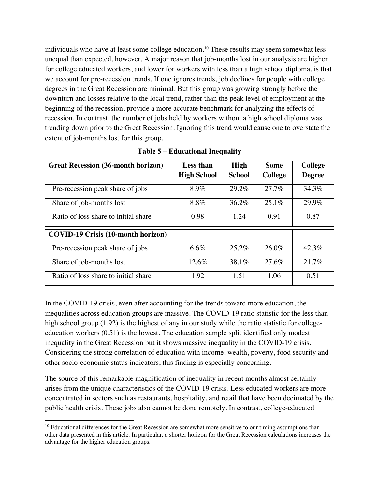individuals who have at least some college education.10 These results may seem somewhat less unequal than expected, however. A major reason that job-months lost in our analysis are higher for college educated workers, and lower for workers with less than a high school diploma, is that we account for pre-recession trends. If one ignores trends, job declines for people with college degrees in the Great Recession are minimal. But this group was growing strongly before the downturn and losses relative to the local trend, rather than the peak level of employment at the beginning of the recession, provide a more accurate benchmark for analyzing the effects of recession. In contrast, the number of jobs held by workers without a high school diploma was trending down prior to the Great Recession. Ignoring this trend would cause one to overstate the extent of job-months lost for this group.

| <b>Great Recession (36-month horizon)</b> | <b>Less than</b>   | <b>High</b>   | <b>Some</b>    | <b>College</b> |
|-------------------------------------------|--------------------|---------------|----------------|----------------|
|                                           | <b>High School</b> | <b>School</b> | <b>College</b> | <b>Degree</b>  |
| Pre-recession peak share of jobs          | 8.9%               | 29.2%         | 27.7%          | 34.3%          |
| Share of job-months lost                  | 8.8%               | $36.2\%$      | $25.1\%$       | 29.9%          |
| Ratio of loss share to initial share      | 0.98               | 1.24          | 0.91           | 0.87           |
| <b>COVID-19 Crisis (10-month horizon)</b> |                    |               |                |                |
| Pre-recession peak share of jobs          | $6.6\%$            | 25.2%         | $26.0\%$       | 42.3%          |
| Share of job-months lost                  | 12.6%              | 38.1%         | 27.6%          | 21.7%          |
| Ratio of loss share to initial share      | 1.92               | 1.51          | 1.06           | 0.51           |

**Table 5 – Educational Inequality**

In the COVID-19 crisis, even after accounting for the trends toward more education, the inequalities across education groups are massive. The COVID-19 ratio statistic for the less than high school group (1.92) is the highest of any in our study while the ratio statistic for collegeeducation workers (0.51) is the lowest. The education sample split identified only modest inequality in the Great Recession but it shows massive inequality in the COVID-19 crisis. Considering the strong correlation of education with income, wealth, poverty, food security and other socio-economic status indicators, this finding is especially concerning.

The source of this remarkable magnification of inequality in recent months almost certainly arises from the unique characteristics of the COVID-19 crisis. Less educated workers are more concentrated in sectors such as restaurants, hospitality, and retail that have been decimated by the public health crisis. These jobs also cannot be done remotely. In contrast, college-educated

<sup>&</sup>lt;sup>10</sup> Educational differences for the Great Recession are somewhat more sensitive to our timing assumptions than other data presented in this article. In particular, a shorter horizon for the Great Recession calculations increases the advantage for the higher education groups.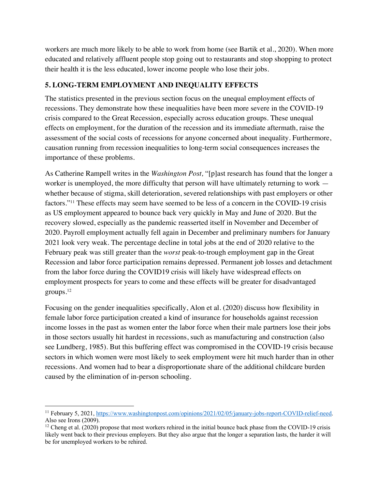workers are much more likely to be able to work from home (see Bartik et al., 2020). When more educated and relatively affluent people stop going out to restaurants and stop shopping to protect their health it is the less educated, lower income people who lose their jobs.

#### **5. LONG-TERM EMPLOYMENT AND INEQUALITY EFFECTS**

The statistics presented in the previous section focus on the unequal employment effects of recessions. They demonstrate how these inequalities have been more severe in the COVID-19 crisis compared to the Great Recession, especially across education groups. These unequal effects on employment, for the duration of the recession and its immediate aftermath, raise the assessment of the social costs of recessions for anyone concerned about inequality. Furthermore, causation running from recession inequalities to long-term social consequences increases the importance of these problems.

As Catherine Rampell writes in the *Washington Post,* "[p]ast research has found that the longer a worker is unemployed, the more difficulty that person will have ultimately returning to work whether because of stigma, skill deterioration, severed relationships with past employers or other factors."11 These effects may seem have seemed to be less of a concern in the COVID-19 crisis as US employment appeared to bounce back very quickly in May and June of 2020. But the recovery slowed, especially as the pandemic reasserted itself in November and December of 2020. Payroll employment actually fell again in December and preliminary numbers for January 2021 look very weak. The percentage decline in total jobs at the end of 2020 relative to the February peak was still greater than the *worst* peak-to-trough employment gap in the Great Recession and labor force participation remains depressed. Permanent job losses and detachment from the labor force during the COVID19 crisis will likely have widespread effects on employment prospects for years to come and these effects will be greater for disadvantaged groups.12

Focusing on the gender inequalities specifically, Alon et al. (2020) discuss how flexibility in female labor force participation created a kind of insurance for households against recession income losses in the past as women enter the labor force when their male partners lose their jobs in those sectors usually hit hardest in recessions, such as manufacturing and construction (also see Lundberg, 1985). But this buffering effect was compromised in the COVID-19 crisis because sectors in which women were most likely to seek employment were hit much harder than in other recessions. And women had to bear a disproportionate share of the additional childcare burden caused by the elimination of in-person schooling.

<sup>&</sup>lt;sup>11</sup> February 5, 2021, https://www.washingtonpost.com/opinions/2021/02/05/january-jobs-report-COVID-relief-need. Also see Irons (2009).

<sup>&</sup>lt;sup>12</sup> Cheng et al. (2020) propose that most workers rehired in the initial bounce back phase from the COVID-19 crisis likely went back to their previous employers. But they also argue that the longer a separation lasts, the harder it will be for unemployed workers to be rehired.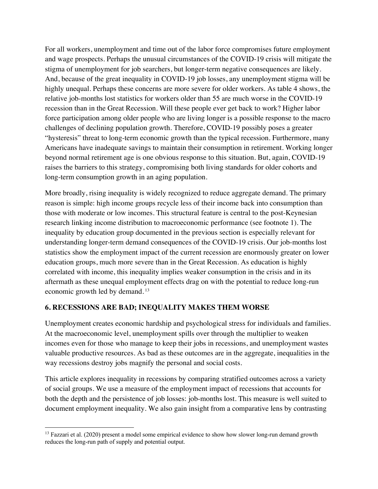For all workers, unemployment and time out of the labor force compromises future employment and wage prospects. Perhaps the unusual circumstances of the COVID-19 crisis will mitigate the stigma of unemployment for job searchers, but longer-term negative consequences are likely. And, because of the great inequality in COVID-19 job losses, any unemployment stigma will be highly unequal. Perhaps these concerns are more severe for older workers. As table 4 shows, the relative job-months lost statistics for workers older than 55 are much worse in the COVID-19 recession than in the Great Recession. Will these people ever get back to work? Higher labor force participation among older people who are living longer is a possible response to the macro challenges of declining population growth. Therefore, COVID-19 possibly poses a greater "hysteresis" threat to long-term economic growth than the typical recession. Furthermore, many Americans have inadequate savings to maintain their consumption in retirement. Working longer beyond normal retirement age is one obvious response to this situation. But, again, COVID-19 raises the barriers to this strategy, compromising both living standards for older cohorts and long-term consumption growth in an aging population.

More broadly, rising inequality is widely recognized to reduce aggregate demand. The primary reason is simple: high income groups recycle less of their income back into consumption than those with moderate or low incomes. This structural feature is central to the post-Keynesian research linking income distribution to macroeconomic performance (see footnote 1). The inequality by education group documented in the previous section is especially relevant for understanding longer-term demand consequences of the COVID-19 crisis. Our job-months lost statistics show the employment impact of the current recession are enormously greater on lower education groups, much more severe than in the Great Recession. As education is highly correlated with income, this inequality implies weaker consumption in the crisis and in its aftermath as these unequal employment effects drag on with the potential to reduce long-run economic growth led by demand. <sup>13</sup>

### **6. RECESSIONS ARE BAD; INEQUALITY MAKES THEM WORSE**

Unemployment creates economic hardship and psychological stress for individuals and families. At the macroeconomic level, unemployment spills over through the multiplier to weaken incomes even for those who manage to keep their jobs in recessions, and unemployment wastes valuable productive resources. As bad as these outcomes are in the aggregate, inequalities in the way recessions destroy jobs magnify the personal and social costs.

This article explores inequality in recessions by comparing stratified outcomes across a variety of social groups. We use a measure of the employment impact of recessions that accounts for both the depth and the persistence of job losses: job-months lost. This measure is well suited to document employment inequality. We also gain insight from a comparative lens by contrasting

<sup>&</sup>lt;sup>13</sup> Fazzari et al. (2020) present a model some empirical evidence to show how slower long-run demand growth reduces the long-run path of supply and potential output.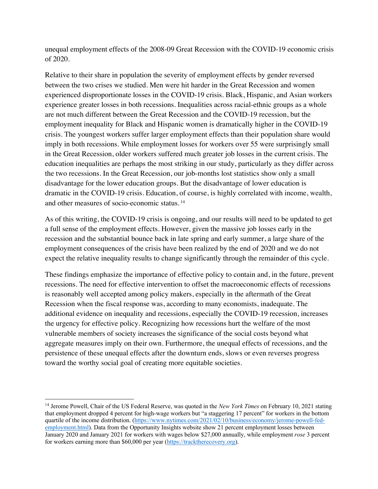unequal employment effects of the 2008-09 Great Recession with the COVID-19 economic crisis of 2020.

Relative to their share in population the severity of employment effects by gender reversed between the two crises we studied. Men were hit harder in the Great Recession and women experienced disproportionate losses in the COVID-19 crisis. Black, Hispanic, and Asian workers experience greater losses in both recessions. Inequalities across racial-ethnic groups as a whole are not much different between the Great Recession and the COVID-19 recession, but the employment inequality for Black and Hispanic women is dramatically higher in the COVID-19 crisis. The youngest workers suffer larger employment effects than their population share would imply in both recessions. While employment losses for workers over 55 were surprisingly small in the Great Recession, older workers suffered much greater job losses in the current crisis. The education inequalities are perhaps the most striking in our study, particularly as they differ across the two recessions. In the Great Recession, our job-months lost statistics show only a small disadvantage for the lower education groups. But the disadvantage of lower education is dramatic in the COVID-19 crisis. Education, of course, is highly correlated with income, wealth, and other measures of socio-economic status. <sup>14</sup>

As of this writing, the COVID-19 crisis is ongoing, and our results will need to be updated to get a full sense of the employment effects. However, given the massive job losses early in the recession and the substantial bounce back in late spring and early summer, a large share of the employment consequences of the crisis have been realized by the end of 2020 and we do not expect the relative inequality results to change significantly through the remainder of this cycle.

These findings emphasize the importance of effective policy to contain and, in the future, prevent recessions. The need for effective intervention to offset the macroeconomic effects of recessions is reasonably well accepted among policy makers, especially in the aftermath of the Great Recession when the fiscal response was, according to many economists, inadequate. The additional evidence on inequality and recessions, especially the COVID-19 recession, increases the urgency for effective policy. Recognizing how recessions hurt the welfare of the most vulnerable members of society increases the significance of the social costs beyond what aggregate measures imply on their own. Furthermore, the unequal effects of recessions, and the persistence of these unequal effects after the downturn ends, slows or even reverses progress toward the worthy social goal of creating more equitable societies.

<sup>14</sup> Jerome Powell, Chair of the US Federal Reserve, was quoted in the *New York Times* on February 10, 2021 stating that employment dropped 4 percent for high-wage workers but "a staggering 17 percent" for workers in the bottom quartile of the income distribution. (https://www.nytimes.com/2021/02/10/business/economy/jerome-powell-fedemployment.html). Data from the Opportunity Insights website show 21 percent employment losses between January 2020 and January 2021 for workers with wages below \$27,000 annually, while employment *rose* 3 percent for workers earning more than \$60,000 per year (https://tracktherecovery.org).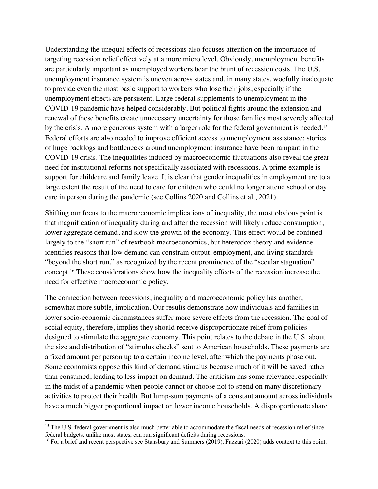Understanding the unequal effects of recessions also focuses attention on the importance of targeting recession relief effectively at a more micro level. Obviously, unemployment benefits are particularly important as unemployed workers bear the brunt of recession costs. The U.S. unemployment insurance system is uneven across states and, in many states, woefully inadequate to provide even the most basic support to workers who lose their jobs, especially if the unemployment effects are persistent. Large federal supplements to unemployment in the COVID-19 pandemic have helped considerably. But political fights around the extension and renewal of these benefits create unnecessary uncertainty for those families most severely affected by the crisis. A more generous system with a larger role for the federal government is needed.<sup>15</sup> Federal efforts are also needed to improve efficient access to unemployment assistance; stories of huge backlogs and bottlenecks around unemployment insurance have been rampant in the COVID-19 crisis. The inequalities induced by macroeconomic fluctuations also reveal the great need for institutional reforms not specifically associated with recessions. A prime example is support for childcare and family leave. It is clear that gender inequalities in employment are to a large extent the result of the need to care for children who could no longer attend school or day care in person during the pandemic (see Collins 2020 and Collins et al., 2021).

Shifting our focus to the macroeconomic implications of inequality, the most obvious point is that magnification of inequality during and after the recession will likely reduce consumption, lower aggregate demand, and slow the growth of the economy. This effect would be confined largely to the "short run" of textbook macroeconomics, but heterodox theory and evidence identifies reasons that low demand can constrain output, employment, and living standards "beyond the short run," as recognized by the recent prominence of the "secular stagnation" concept.16 These considerations show how the inequality effects of the recession increase the need for effective macroeconomic policy.

The connection between recessions, inequality and macroeconomic policy has another, somewhat more subtle, implication. Our results demonstrate how individuals and families in lower socio-economic circumstances suffer more severe effects from the recession. The goal of social equity, therefore, implies they should receive disproportionate relief from policies designed to stimulate the aggregate economy. This point relates to the debate in the U.S. about the size and distribution of "stimulus checks" sent to American households. These payments are a fixed amount per person up to a certain income level, after which the payments phase out. Some economists oppose this kind of demand stimulus because much of it will be saved rather than consumed, leading to less impact on demand. The criticism has some relevance, especially in the midst of a pandemic when people cannot or choose not to spend on many discretionary activities to protect their health. But lump-sum payments of a constant amount across individuals have a much bigger proportional impact on lower income households. A disproportionate share

<sup>&</sup>lt;sup>15</sup> The U.S. federal government is also much better able to accommodate the fiscal needs of recession relief since federal budgets, unlike most states, can run significant deficits during recessions.

<sup>&</sup>lt;sup>16</sup> For a brief and recent perspective see Stansbury and Summers (2019). Fazzari (2020) adds context to this point.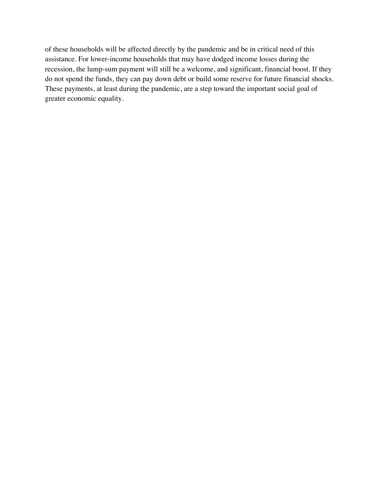of these households will be affected directly by the pandemic and be in critical need of this assistance. For lower-income households that may have dodged income losses during the recession, the lump-sum payment will still be a welcome, and significant, financial boost. If they do not spend the funds, they can pay down debt or build some reserve for future financial shocks. These payments, at least during the pandemic, are a step toward the important social goal of greater economic equality.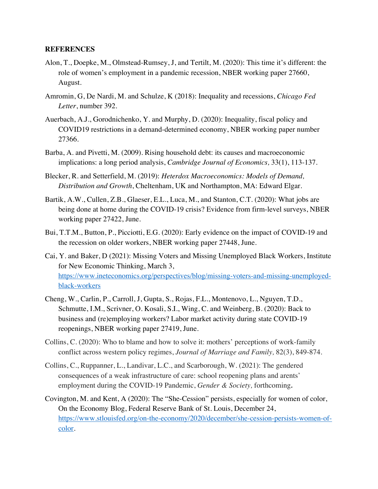#### **REFERENCES**

- Alon, T., Doepke, M., Olmstead-Rumsey, J, and Tertilt, M. (2020): This time it's different: the role of women's employment in a pandemic recession, NBER working paper 27660, August.
- Amromin, G, De Nardi, M. and Schulze, K (2018): Inequality and recessions, *Chicago Fed Letter*, number 392.
- Auerbach, A.J., Gorodnichenko, Y. and Murphy, D. (2020): Inequality, fiscal policy and COVID19 restrictions in a demand-determined economy, NBER working paper number 27366.
- Barba, A. and Pivetti, M. (2009). Rising household debt: its causes and macroeconomic implications: a long period analysis, *Cambridge Journal of Economics,* 33(1), 113-137.
- Blecker, R. and Setterfield, M. (2019): *Heterdox Macroeconomics: Models of Demand, Distribution and Growth*, Cheltenham, UK and Northampton, MA: Edward Elgar.
- Bartik, A.W., Cullen, Z.B., Glaeser, E.L., Luca, M., and Stanton, C.T. (2020): What jobs are being done at home during the COVID-19 crisis? Evidence from firm-level surveys, NBER working paper 27422, June.
- Bui, T.T.M., Button, P., Picciotti, E.G. (2020): Early evidence on the impact of COVID-19 and the recession on older workers, NBER working paper 27448, June.
- Cai, Y. and Baker, D (2021): Missing Voters and Missing Unemployed Black Workers, Institute for New Economic Thinking, March 3, https://www.ineteconomics.org/perspectives/blog/missing-voters-and-missing-unemployedblack-workers
- Cheng, W., Carlin, P., Carroll, J, Gupta, S., Rojas, F.L., Montenovo, L., Nguyen, T.D., Schmutte, I.M., Scrivner, O. Kosali, S.I., Wing, C. and Weinberg, B. (2020): Back to business and (re)employing workers? Labor market activity during state COVID-19 reopenings, NBER working paper 27419, June.
- Collins, C. (2020): Who to blame and how to solve it: mothers' perceptions of work-family conflict across western policy regimes, *Journal of Marriage and Family,* 82(3), 849-874.
- Collins, C., Ruppanner, L., Landivar, L.C., and Scarborough, W. (2021): The gendered consequences of a weak infrastructure of care: school reopening plans and arents' employment during the COVID-19 Pandemic, *Gender & Society,* forthcoming*.*
- Covington, M. and Kent, A (2020): The "She-Cession" persists, especially for women of color, On the Economy Blog, Federal Reserve Bank of St. Louis, December 24, https://www.stlouisfed.org/on-the-economy/2020/december/she-cession-persists-women-ofcolor.